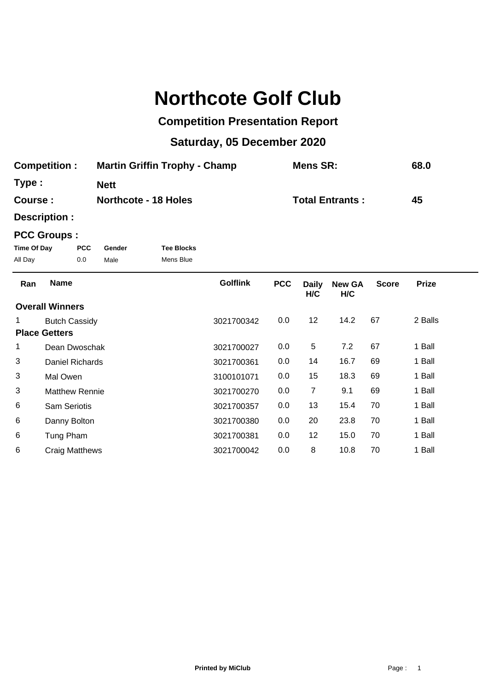# **Northcote Golf Club**

## **Competition Presentation Report**

## **Saturday, 05 December 2020**

| <b>Competition:</b> | <b>Martin Griffin Trophy - Champ</b> | Mens SR:               | 68.0 |
|---------------------|--------------------------------------|------------------------|------|
| Type:               | <b>Nett</b>                          |                        |      |
| Course :            | <b>Northcote - 18 Holes</b>          | <b>Total Entrants:</b> | 45   |

**Description :**

### **PCC Groups :**

| Time Of Day | PCC. | Gender | <b>Tee Blocks</b> |
|-------------|------|--------|-------------------|
| All Day     | 0.0  | Male   | Mens Blue         |

| Ran | <b>Name</b>            | <b>Golflink</b> | <b>PCC</b> | <b>Daily</b><br>H/C | <b>New GA</b><br>H/C | <b>Score</b> | <b>Prize</b> |  |
|-----|------------------------|-----------------|------------|---------------------|----------------------|--------------|--------------|--|
|     | <b>Overall Winners</b> |                 |            |                     |                      |              |              |  |
|     | <b>Butch Cassidy</b>   | 3021700342      | $0.0\,$    | 12                  | 14.2                 | 67           | 2 Balls      |  |
|     | <b>Place Getters</b>   |                 |            |                     |                      |              |              |  |
| 1   | Dean Dwoschak          | 3021700027      | $0.0\,$    | 5                   | 7.2                  | 67           | 1 Ball       |  |
| 3   | Daniel Richards        | 3021700361      | 0.0        | 14                  | 16.7                 | 69           | 1 Ball       |  |
| 3   | Mal Owen               | 3100101071      | 0.0        | 15                  | 18.3                 | 69           | 1 Ball       |  |
| 3   | <b>Matthew Rennie</b>  | 3021700270      | 0.0        | $\overline{7}$      | 9.1                  | 69           | 1 Ball       |  |
| 6   | <b>Sam Seriotis</b>    | 3021700357      | 0.0        | 13                  | 15.4                 | 70           | 1 Ball       |  |
| 6   | Danny Bolton           | 3021700380      | 0.0        | 20                  | 23.8                 | 70           | 1 Ball       |  |
| 6   | Tung Pham              | 3021700381      | 0.0        | 12                  | 15.0                 | 70           | 1 Ball       |  |
| 6   | <b>Craig Matthews</b>  | 3021700042      | 0.0        | 8                   | 10.8                 | 70           | 1 Ball       |  |